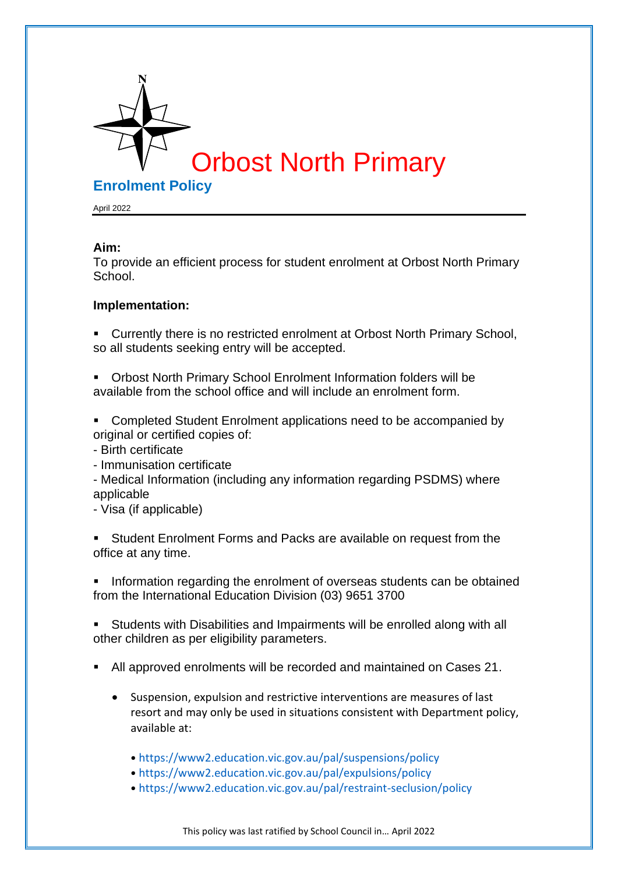

April 2022

## **Aim:**

To provide an efficient process for student enrolment at Orbost North Primary School.

## **Implementation:**

- Currently there is no restricted enrolment at Orbost North Primary School, so all students seeking entry will be accepted.
- **Orbost North Primary School Enrolment Information folders will be** available from the school office and will include an enrolment form.
- Completed Student Enrolment applications need to be accompanied by original or certified copies of:
- Birth certificate
- Immunisation certificate
- Medical Information (including any information regarding PSDMS) where applicable
- Visa (if applicable)

Student Enrolment Forms and Packs are available on request from the office at any time.

**•** Information regarding the enrolment of overseas students can be obtained from the International Education Division (03) 9651 3700

■ Students with Disabilities and Impairments will be enrolled along with all other children as per eligibility parameters.

- All approved enrolments will be recorded and maintained on Cases 21.
	- Suspension, expulsion and restrictive interventions are measures of last resort and may only be used in situations consistent with Department policy, available at:
		- https://www2.education.vic.gov.au/pal/suspensions/policy
		- https://www2.education.vic.gov.au/pal/expulsions/policy
		- https://www2.education.vic.gov.au/pal/restraint-seclusion/policy